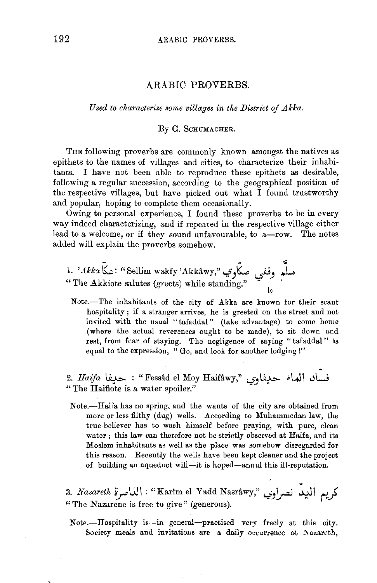## ARABIC PROVERBS.

*Used to characterize some villages in the District of Akka.* 

## By G. SCHUMACHER.

THE following proverbs are commonly known amongst the natives as epithets to the names of villages and cities, to characterize their inhabitants. I have not been able to reproduce these epithets as desirable, following a regular succession, according to the geographical position of the respective villages, but have picked out what I found trustworthy and popular, hoping to complete them occasionally.

Owing to personal experience, I found these proverbs to be in every way indeed characterizing, and if repeated in the respective village either lead to a welcome, or if they sound unfavourable, to a-row. The notes added will explain the proverbs somehow.

1. 'Akka~: "Sellimwakfy'AkHwy,"<-:f)~ ~) ;L "The Akkiote salutes (greets) while standing." lv

Note.-The inhabitants of the city of Akka are known for their scant hospitality; if a stranger arrives, he is greeted on the street and not invited with the usual "tafaddal" (take advantage) to come home (where the actual reverences ought to be made), to sit down and rest, from fear of staying. The negligence of saying "tafaddal" is equal to the expression, "Go, and look for another lodging!"

2. *Haifa* ~ : "Fess:ld el Moy Haifawy," '-:?JIJ.~ "'LJ\ .)\.....j " The Haifiote is a water spoiler."

Note.-Haifa has no spring, and the wants of the city are obtained from more or less filthy (dug) wells. According to Muhammedan law, the true-believer has to wash himself before praying, with pure, clean water; this law can therefore not be strictly observed at Haifa, and its Moslem inhabitants as well as the place was somehow disregarded for this reason. Recently the wells have been kept cleaner and the project of building an aqueduct will-it is hoped-annul this ill-reputation.

3. *Nazareth : "*Karim el Yadd Nasrâwy," لريم الديد نصراوي "Karim el Yadd Nasrâwy" "The Nazarene is free to give" (generous).

Note.-Hospitality is-in general-practised very freely at this city. Society meals and invitations are a daily occurrence at Nazareth,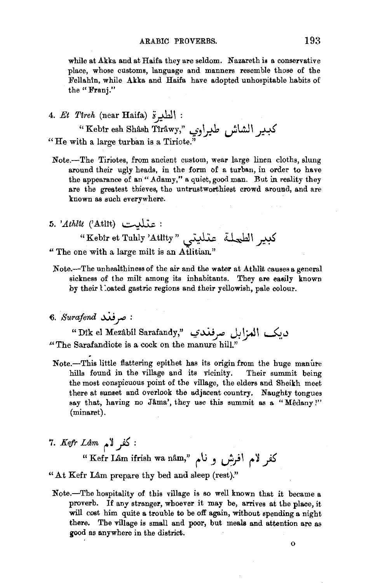while at Akka and at Haifa they are seldom. Nazareth is a conservative place, whose customs, language and manners resemble those of the Fellahin, while Akka and Haifa have adopted unhospitable habits of the "Frani."

4. *Et Tireh* (near Haifa) *:* الطيرة

الطيرة (near Haifa) : الطيرة (kebir esh Shâsh Tîrâwy," ).<br>كبدير الشاش طيراوي "Kebir esh Shâsh Tîrâwy," )<br>"He with a large turban is a Tiriote."

- Note.-The Tiriotes, from ancient custom, wear large linen cloths, slung around their ugly heads, in the form of a turban, in order to have the appearance of an "Adamy," a quiet, good man. But in reality they are the greatest thieves, the untrustworthiest crowd around, and are known as such everywhere.
- 5. *'.Athltt* (' AtUt) ~ :

"Kebir et Tuhly 'Atlity" ، عذليتي "Kebir et Tuhly 'Atlity" "The one with a large milt is an Atlitian."

- Note.-The unhealthiness of the air and the water at Athlit causes a general sickness of the milt among its inhabitants. They are easily known by their l :oated gastric regions and their yellowish, pale colour.
- 6. *Surafend* ~ *J"" :*

سرتعت سسوس<br>Dik el Mezâbil Sarafandy," 'حاكم العزاءل صرفغان ل  $\lq$  The Sarafandiote is a cock on the manure hill."

- Note.-This little flattering epithet has its origin from the huge manure hills found in the village and its vicinity. Their summit being the most conspicuous point of the village, the elders and Sheikh meet there at sunset and overlook the adjacent country. Naughty tongues say that, having no Jâma', they use this summit as a "Mêdany!" (minaret).
- : كفر لام *T. Kefr Lâm*

" Kefr Lil.m ifrish wa nil.m," *('* U ) ,\_;;I (' ~ \_fi "At Kefr Lâm prepare thy bed and sleep (rest)."

Note.-The hospitality of this village is so well known that it became a proverb. If any stranger, whoever it may be, arrives at the place, it will cost him quite a trouble to be off again, without spending a night there. The village is small and poor, but meals and attention are as good as anywhere in the district.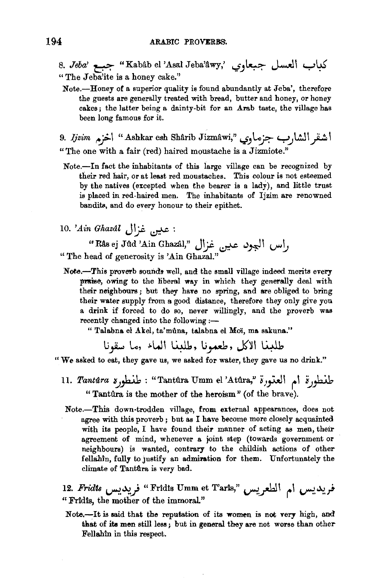- 8. *Jeba*' جبعة "Kabâb el 'Asal Jeba'âwy,' جبع العسل جبعاوي " The Jeba'ite is a honey cake."
	- Note.-Honey of a superior quality is found abundantly at Jeba', therefore the guests are generally treated with bread, butter and honey, or honey cakes; the latter being a dainty-bit for an Arab taste, the village has been long famous for it.

9. *Ijzim* منقر الشارب جزماوي "Ashkar esh Shârib Jizmâwi، اخزم "A "The one with a fair (red) haired moustache is a Jizmiote."

- Note.-In fact the inhabitants of this large village can be recognized by their red hair, or at least red moustaches. This colour is not esteemed by the natives (excepted when the bearer is a lady), and little trust is placed in red-haired men. The inhabitants of Ijzim are renowned bandits, and do every honour to their epithet.
- : عين غزال *Ain Ghazal* .

"Msej Jtld 'Ain Ghazil.l," J~ ~ <.)~\ l..i""~ "The head of generosity is 'Ain Ghazal."

Note.-This proverb sounds well, and the small village indeed merits every prais&, owing to the liberal way in which they generally deal with their neighbours; but they have no spring, and are obliged to bring their water supply from a good distance, therefore they only give you a drink if forced to do so, never willingly, and the proverb was recently changed into the following :-

" Talabna el Akel, ta'muna, talabna el Moï, ma sakuna."

طلعنا الاكل وطعمونا وطلعنا العاء وما سقونا

"We asked to eat, they gave us, we asked for water, they gave us no drink."

- 11. *Tantûra للمطورة ام العتورة "T*antûra Umm el 'Atûra," خانطورة ام "Tantûra is the mother of the heroism" (of the brave).
	- Note.-This down-trodden village, from external appearances, does not agree with this proverb; but as I have become more closely acquainted with its people, I have found their manner of acting as men, their agreement of mind, whenever a joint step (towards government or neighbours) is wanted, contrary to the childish actions of other fellahin, fully to justify an admiration for them. Unfortunately the climate of Tantura is very bad.

12. *Fridts و بديس ام الطعريس "F*ridis Umm et Taris" فريديس ام " Fridts, the mother of the immoral."

Note.--It is said that the reputation of its women is not very high, and that of its men still less ; but in general they are not worse than other Fellahtn in this respect.